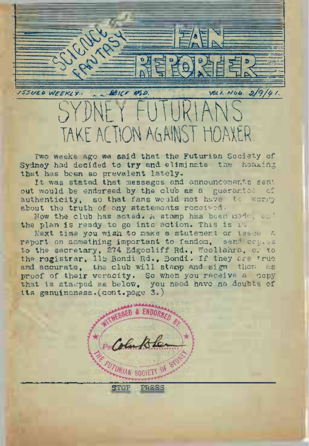$2/9/41$ BBICF WSD ISSUED WEEKLY. SYPHE<sup>t</sup> FUfURlANS TAKE ACTION AGAINST HOAXER.

Two weeks ago we said that the Futurian Society of Sydney had decided to try and eliminate the hoaxing that has been so prevalent lately.

It was stated that messages and announcements sent out would be endorsed by the club as a guarantee of authenticity, so that fans would not have to worry about the truth of any statements received.

Now the club has acted. A stamp has been mode, and the plan is ready to go into action. This is it.

Next time you wish to make a statement or issue a report on something important to fandom, send copies to the secretary, 274 Edgecliff Rd. Woollahra, or to the registrar, <sup>115</sup> Bondi Rd., Bondi. If they are true and accurate, the club will stamp and sign them as proof of their veracity. So when you receive a copy that is stagped as below, you need have no doubts of its genuineness.(cont.page 3.)

STOP PRBSS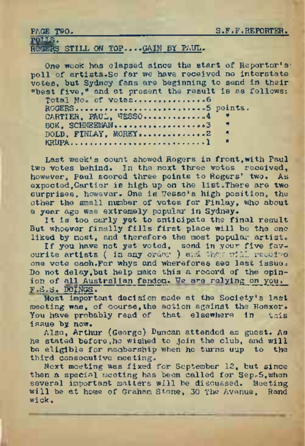| <b>FRUE TWO.</b>                  |  |  |  |
|-----------------------------------|--|--|--|
| POLIS.                            |  |  |  |
| ROGERS STILL ON TOP GAIN BY PAUL. |  |  |  |
|                                   |  |  |  |

PAGE TWO.<br>
POILS.<br>
POILS.<br>
ROGERS STILL ON TOP.....GAIN BY PAUL.<br>
One wook has clapsed since the start of Reportor's<br>
poll of artists.<br>
So for we have received no interstate<br>
votes, but Sydney fans are beginning to send in One week has elapsed since the start of Reporter'spoll of artists.So far we have received no interstate votes, but Sydney fans are beginning to send in their "best five," and at present the result is as follows: Total Ho. of votes........................6 ROGERS........................................... <>5 points, CARTIER, PAUL, WESSO...............4 BOK, SCHNBEMAN......................................>»3 " DOLD, FINLAY, MOREY.................2 KRUPA..............................................................1 "

Last week's count showed Rogers in front,with Paul two votes behind. In the next three votes received, however, Paul scored three points to Rogers' two-. As expected,Cartier is high up on the list.There are two surprises, however. One is Wesso's high position, the other the small number of votes for Finlay, who about a year ago was extremely popular in Sydney.

It is too carly yet to anticipate the final result But whoever finally fills first place will be the one liked by most, and therefore the most popular artist.

If you have not yet voted, send in your five fav-ourite artists ( in any order ) and they will receive-, one vote each.For whys and wherefores see last issue. Do not delay,but help make this a record of the opinion of all Australian fandom. We are relying on you, F.S.8. DOINGS. '

Most important decision made at the Society's last meeting was, of course,the action against the Hoaxer. You have probably read of that elsewhere in this issue by now.

Also, Arthur (George) Duncan attended as guest. As he stated before,he wished to join the club, and will be eligible for membership when he turns uup to the third consecutive meeting.

Next meeting was fixed for September 12, but since, then a special meeting has been called for Sep.5, when several important matters will be discussed. Meeting will be at home of Graham Stone, <sup>30</sup> The Avenue, Rand wick.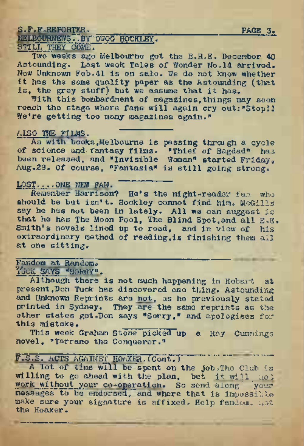# S.F.F.REFORTER.<br>MELBOURNEVS..BY O<del>UOG HOCKLEY. " PAGE 3.</del><br>STILL THEY COME.

Two weeks ago Melbourne got the B.R.E. December 40 Astounding. Last week Tales of Wonder No.14 arrived. Now Unknown Feb.41 is on sale. We do not know whether it has the same quality paper as the Astounding (that is, the grey stuff) but we assume that it has.

With this bombardment of magazines,things may soon reach the stage where fans will again cry out: "Stop!! We're getting too many magazines again."

### AISO THE FILMS.

As with books, Melbourne is passing through a cycle of science and. fantasy films. "Thief of Bagdad" has been released, and "Invisible Woman" started Friday<sup>s</sup> Aug.29. Of course, "Fantasia" is still going strong.

## LOST....ONE NEW FAN.

Remember Harrison? He'<sup>s</sup> the night-reader fan who should be but isn't. Hockley cannot find him. McGills say he has not been in lately. All we can suggest is that he has The Moon Pool, The Blind Spot,and all E.E. Smith's novels lined up to read, and in view of his extraordinary method of reading, is finishing them all at one sitting.

## Fandom at Random. ' Tuck says "sorry".

Although there is not much happening in Hobart at present, Don Tuck has discovered one thing. Astounding and Unknown Reprints are not, as he previously stated printed in Sydney. They are the same reprints as the other states get. Don says "Sorry," and apologises for this mistake.

This week Graham Stone picked up a Ray Cummings novel, "Tarrano the Conqueror."

F.S.S. ACTS AGAINST HO/XERT. (Cont.)<br>A lot of time will be spent on the job The Club is willing to go ahead with the pent on the job.The Club is will not true will not be the plan, but it will not will along messages to be endorsed, and where that is impossible make sure your signature is affixed. Help fandom. not the Hoaxer.